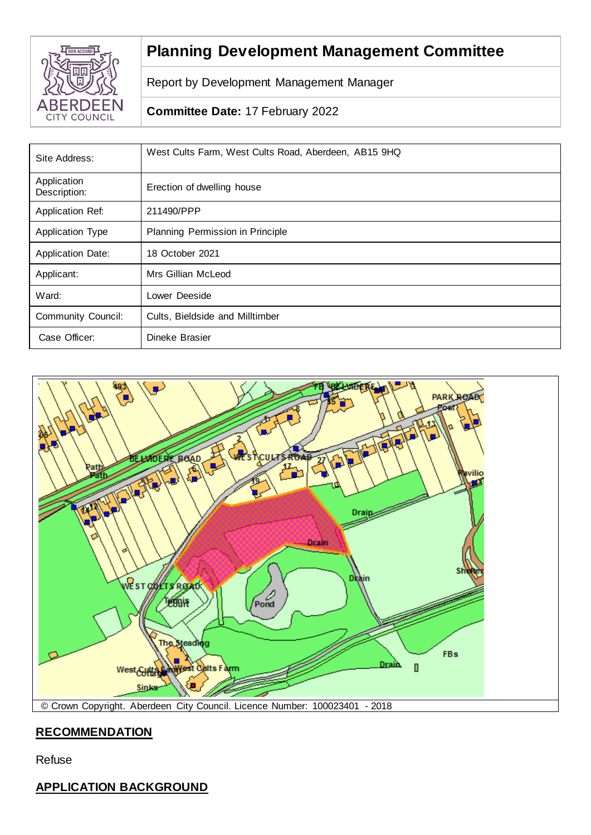

# **Planning Development Management Committee**

Report by Development Management Manager

# **Committee Date:** 17 February 2022

| Site Address:               | West Cults Farm, West Cults Road, Aberdeen, AB15 9HQ |
|-----------------------------|------------------------------------------------------|
| Application<br>Description: | Erection of dwelling house                           |
| Application Ref:            | 211490/PPP                                           |
| <b>Application Type</b>     | Planning Permission in Principle                     |
| <b>Application Date:</b>    | 18 October 2021                                      |
| Applicant:                  | Mrs Gillian McLeod                                   |
| Ward:                       | Lower Deeside                                        |
| <b>Community Council:</b>   | Cults, Bieldside and Milltimber                      |
| Case Officer:               | Dineke Brasier                                       |



# **RECOMMENDATION**

Refuse

# **APPLICATION BACKGROUND**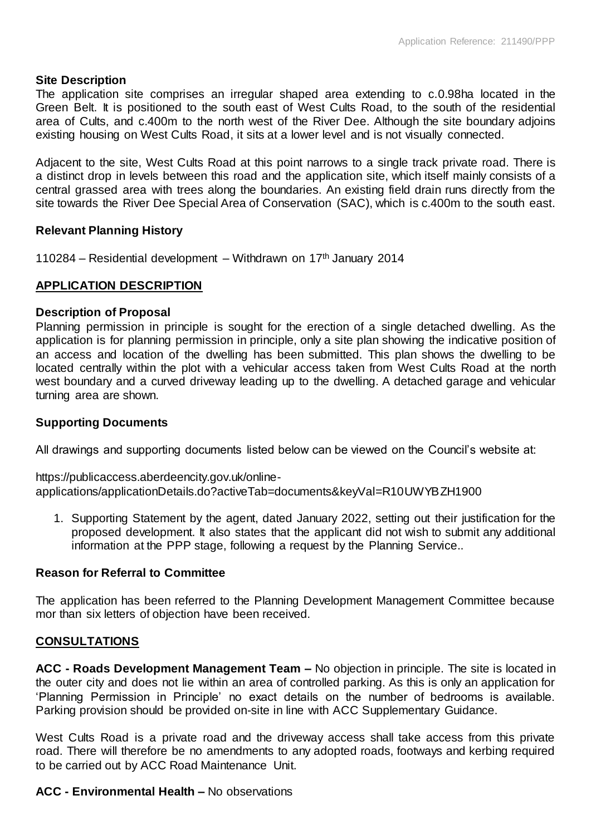## **Site Description**

The application site comprises an irregular shaped area extending to c.0.98ha located in the Green Belt. It is positioned to the south east of West Cults Road, to the south of the residential area of Cults, and c.400m to the north west of the River Dee. Although the site boundary adjoins existing housing on West Cults Road, it sits at a lower level and is not visually connected.

Adjacent to the site, West Cults Road at this point narrows to a single track private road. There is a distinct drop in levels between this road and the application site, which itself mainly consists of a central grassed area with trees along the boundaries. An existing field drain runs directly from the site towards the River Dee Special Area of Conservation (SAC), which is c.400m to the south east.

## **Relevant Planning History**

110284 – Residential development – Withdrawn on  $17<sup>th</sup>$  January 2014

## **APPLICATION DESCRIPTION**

## **Description of Proposal**

Planning permission in principle is sought for the erection of a single detached dwelling. As the application is for planning permission in principle, only a site plan showing the indicative position of an access and location of the dwelling has been submitted. This plan shows the dwelling to be located centrally within the plot with a vehicular access taken from West Cults Road at the north west boundary and a curved driveway leading up to the dwelling. A detached garage and vehicular turning area are shown.

## **Supporting Documents**

All drawings and supporting documents listed below can be viewed on the Council's website at:

https://publicaccess.aberdeencity.gov.uk/onlineapplications/applicationDetails.do?activeTab=documents&keyVal=R10UWYBZH1900

1. Supporting Statement by the agent, dated January 2022, setting out their justification for the proposed development. It also states that the applicant did not wish to submit any additional information at the PPP stage, following a request by the Planning Service..

## **Reason for Referral to Committee**

The application has been referred to the Planning Development Management Committee because mor than six letters of objection have been received.

## **CONSULTATIONS**

**ACC - Roads Development Management Team –** No objection in principle. The site is located in the outer city and does not lie within an area of controlled parking. As this is only an application for 'Planning Permission in Principle' no exact details on the number of bedrooms is available. Parking provision should be provided on-site in line with ACC Supplementary Guidance.

West Cults Road is a private road and the driveway access shall take access from this private road. There will therefore be no amendments to any adopted roads, footways and kerbing required to be carried out by ACC Road Maintenance Unit.

#### **ACC - Environmental Health –** No observations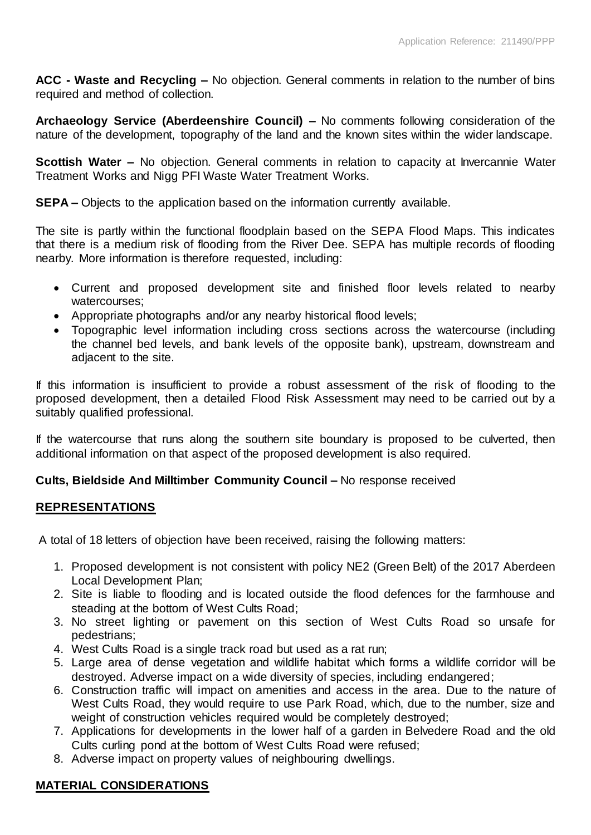**ACC - Waste and Recycling –** No objection. General comments in relation to the number of bins required and method of collection.

**Archaeology Service (Aberdeenshire Council) –** No comments following consideration of the nature of the development, topography of the land and the known sites within the wider landscape.

**Scottish Water –** No objection. General comments in relation to capacity at Invercannie Water Treatment Works and Nigg PFI Waste Water Treatment Works.

**SEPA –** Objects to the application based on the information currently available.

The site is partly within the functional floodplain based on the SEPA Flood Maps. This indicates that there is a medium risk of flooding from the River Dee. SEPA has multiple records of flooding nearby. More information is therefore requested, including:

- Current and proposed development site and finished floor levels related to nearby watercourses;
- Appropriate photographs and/or any nearby historical flood levels;
- Topographic level information including cross sections across the watercourse (including the channel bed levels, and bank levels of the opposite bank), upstream, downstream and adjacent to the site.

If this information is insufficient to provide a robust assessment of the risk of flooding to the proposed development, then a detailed Flood Risk Assessment may need to be carried out by a suitably qualified professional.

If the watercourse that runs along the southern site boundary is proposed to be culverted, then additional information on that aspect of the proposed development is also required.

## **Cults, Bieldside And Milltimber Community Council –** No response received

#### **REPRESENTATIONS**

A total of 18 letters of objection have been received, raising the following matters:

- 1. Proposed development is not consistent with policy NE2 (Green Belt) of the 2017 Aberdeen Local Development Plan;
- 2. Site is liable to flooding and is located outside the flood defences for the farmhouse and steading at the bottom of West Cults Road;
- 3. No street lighting or pavement on this section of West Cults Road so unsafe for pedestrians;
- 4. West Cults Road is a single track road but used as a rat run;
- 5. Large area of dense vegetation and wildlife habitat which forms a wildlife corridor will be destroyed. Adverse impact on a wide diversity of species, including endangered;
- 6. Construction traffic will impact on amenities and access in the area. Due to the nature of West Cults Road, they would require to use Park Road, which, due to the number, size and weight of construction vehicles required would be completely destroyed;
- 7. Applications for developments in the lower half of a garden in Belvedere Road and the old Cults curling pond at the bottom of West Cults Road were refused;
- 8. Adverse impact on property values of neighbouring dwellings.

## **MATERIAL CONSIDERATIONS**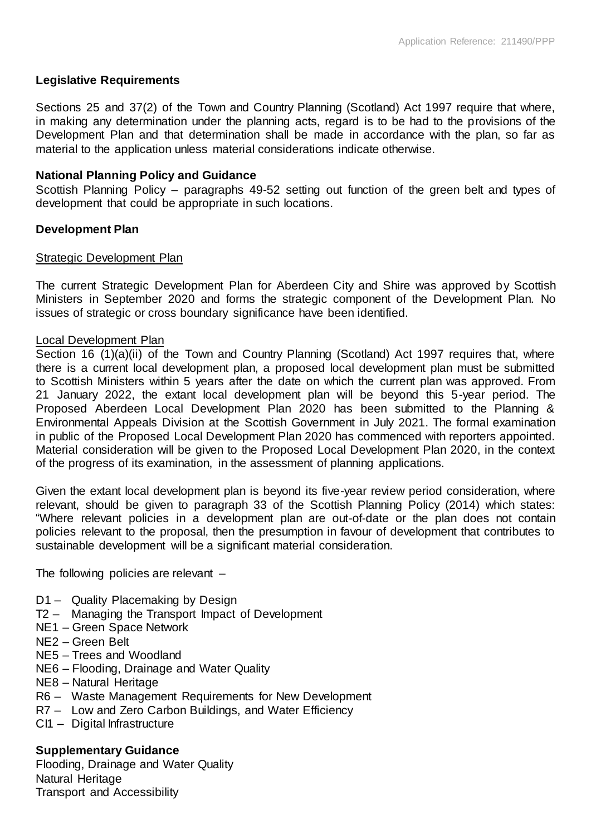## **Legislative Requirements**

Sections 25 and 37(2) of the Town and Country Planning (Scotland) Act 1997 require that where, in making any determination under the planning acts, regard is to be had to the provisions of the Development Plan and that determination shall be made in accordance with the plan, so far as material to the application unless material considerations indicate otherwise.

## **National Planning Policy and Guidance**

Scottish Planning Policy – paragraphs 49-52 setting out function of the green belt and types of development that could be appropriate in such locations.

## **Development Plan**

#### Strategic Development Plan

The current Strategic Development Plan for Aberdeen City and Shire was approved by Scottish Ministers in September 2020 and forms the strategic component of the Development Plan. No issues of strategic or cross boundary significance have been identified.

#### Local Development Plan

Section 16 (1)(a)(ii) of the Town and Country Planning (Scotland) Act 1997 requires that, where there is a current local development plan, a proposed local development plan must be submitted to Scottish Ministers within 5 years after the date on which the current plan was approved. From 21 January 2022, the extant local development plan will be beyond this 5-year period. The Proposed Aberdeen Local Development Plan 2020 has been submitted to the Planning & Environmental Appeals Division at the Scottish Government in July 2021. The formal examination in public of the Proposed Local Development Plan 2020 has commenced with reporters appointed. Material consideration will be given to the Proposed Local Development Plan 2020, in the context of the progress of its examination, in the assessment of planning applications.

Given the extant local development plan is beyond its five-year review period consideration, where relevant, should be given to paragraph 33 of the Scottish Planning Policy (2014) which states: "Where relevant policies in a development plan are out-of-date or the plan does not contain policies relevant to the proposal, then the presumption in favour of development that contributes to sustainable development will be a significant material consideration.

The following policies are relevant –

- D1 Quality Placemaking by Design
- T2 Managing the Transport Impact of Development
- NE1 Green Space Network
- NE2 Green Belt
- NE5 Trees and Woodland
- NE6 Flooding, Drainage and Water Quality
- NE8 Natural Heritage
- R6 Waste Management Requirements for New Development
- R7 Low and Zero Carbon Buildings, and Water Efficiency
- CI1 Digital Infrastructure

## **Supplementary Guidance**

Flooding, Drainage and Water Quality Natural Heritage Transport and Accessibility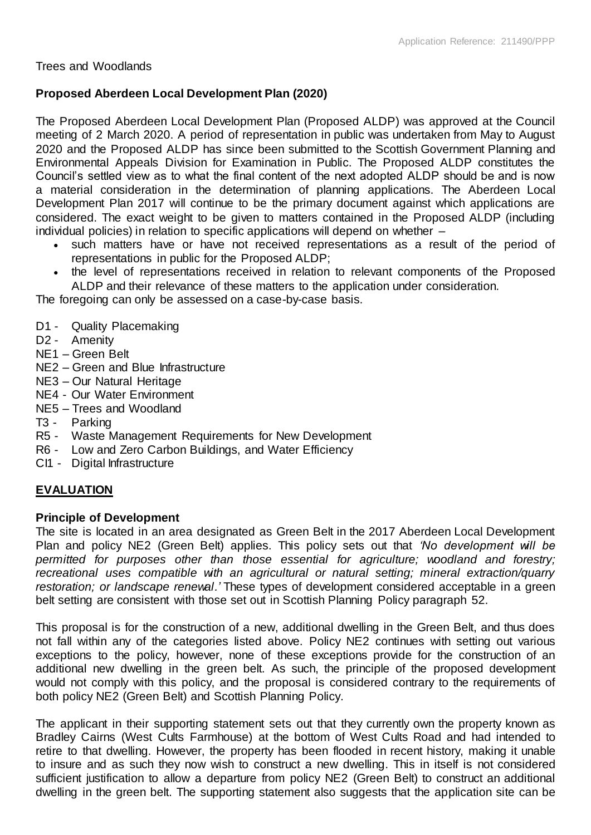Trees and Woodlands

## **Proposed Aberdeen Local Development Plan (2020)**

The Proposed Aberdeen Local Development Plan (Proposed ALDP) was approved at the Council meeting of 2 March 2020. A period of representation in public was undertaken from May to August 2020 and the Proposed ALDP has since been submitted to the Scottish Government Planning and Environmental Appeals Division for Examination in Public. The Proposed ALDP constitutes the Council's settled view as to what the final content of the next adopted ALDP should be and is now a material consideration in the determination of planning applications. The Aberdeen Local Development Plan 2017 will continue to be the primary document against which applications are considered. The exact weight to be given to matters contained in the Proposed ALDP (including individual policies) in relation to specific applications will depend on whether –

- such matters have or have not received representations as a result of the period of representations in public for the Proposed ALDP;
- the level of representations received in relation to relevant components of the Proposed ALDP and their relevance of these matters to the application under consideration.

The foregoing can only be assessed on a case-by-case basis.

- D1 Quality Placemaking
- D<sub>2</sub> Amenity
- NE1 Green Belt
- NE2 Green and Blue Infrastructure
- NE3 Our Natural Heritage
- NE4 Our Water Environment
- NE5 Trees and Woodland
- T3 Parking
- R5 Waste Management Requirements for New Development
- R6 Low and Zero Carbon Buildings, and Water Efficiency
- CI1 Digital Infrastructure

# **EVALUATION**

## **Principle of Development**

The site is located in an area designated as Green Belt in the 2017 Aberdeen Local Development Plan and policy NE2 (Green Belt) applies. This policy sets out that *'No development will be permitted for purposes other than those essential for agriculture; woodland and forestry; recreational uses compatible with an agricultural or natural setting; mineral extraction/quarry restoration; or landscape renewal.'* These types of development considered acceptable in a green belt setting are consistent with those set out in Scottish Planning Policy paragraph 52.

This proposal is for the construction of a new, additional dwelling in the Green Belt, and thus does not fall within any of the categories listed above. Policy NE2 continues with setting out various exceptions to the policy, however, none of these exceptions provide for the construction of an additional new dwelling in the green belt. As such, the principle of the proposed development would not comply with this policy, and the proposal is considered contrary to the requirements of both policy NE2 (Green Belt) and Scottish Planning Policy.

The applicant in their supporting statement sets out that they currently own the property known as Bradley Cairns (West Cults Farmhouse) at the bottom of West Cults Road and had intended to retire to that dwelling. However, the property has been flooded in recent history, making it unable to insure and as such they now wish to construct a new dwelling. This in itself is not considered sufficient justification to allow a departure from policy NE2 (Green Belt) to construct an additional dwelling in the green belt. The supporting statement also suggests that the application site can be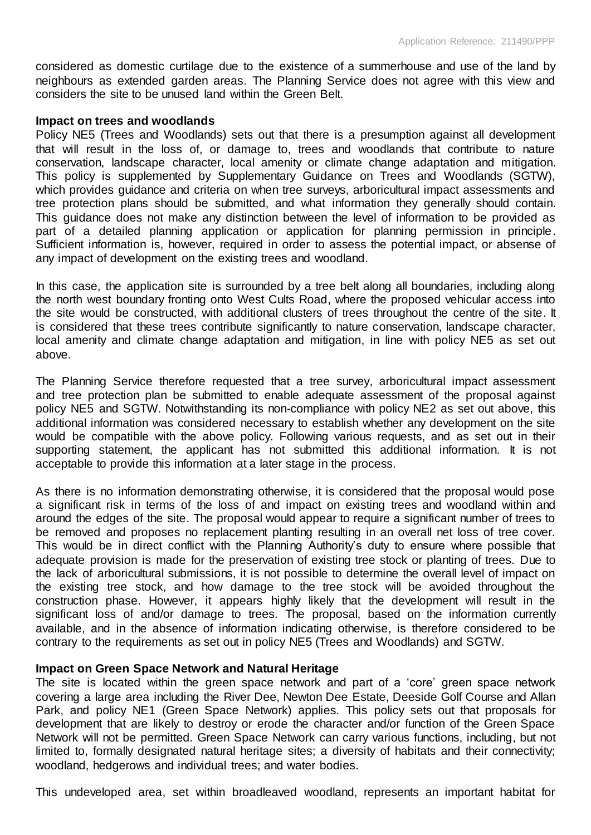considered as domestic curtilage due to the existence of a summerhouse and use of the land by neighbours as extended garden areas. The Planning Service does not agree with this view and considers the site to be unused land within the Green Belt.

#### **Impact on trees and woodlands**

Policy NE5 (Trees and Woodlands) sets out that there is a presumption against all development that will result in the loss of, or damage to, trees and woodlands that contribute to nature conservation, landscape character, local amenity or climate change adaptation and mitigation. This policy is supplemented by Supplementary Guidance on Trees and Woodlands (SGTW), which provides guidance and criteria on when tree surveys, arboricultural impact assessments and tree protection plans should be submitted, and what information they generally should contain. This guidance does not make any distinction between the level of information to be provided as part of a detailed planning application or application for planning permission in principle. Sufficient information is, however, required in order to assess the potential impact, or absense of any impact of development on the existing trees and woodland.

In this case, the application site is surrounded by a tree belt along all boundaries, including along the north west boundary fronting onto West Cults Road, where the proposed vehicular access into the site would be constructed, with additional clusters of trees throughout the centre of the site. It is considered that these trees contribute significantly to nature conservation, landscape character, local amenity and climate change adaptation and mitigation, in line with policy NE5 as set out above.

The Planning Service therefore requested that a tree survey, arboricultural impact assessment and tree protection plan be submitted to enable adequate assessment of the proposal against policy NE5 and SGTW. Notwithstanding its non-compliance with policy NE2 as set out above, this additional information was considered necessary to establish whether any development on the site would be compatible with the above policy. Following various requests, and as set out in their supporting statement, the applicant has not submitted this additional information. It is not acceptable to provide this information at a later stage in the process.

As there is no information demonstrating otherwise, it is considered that the proposal would pose a significant risk in terms of the loss of and impact on existing trees and woodland within and around the edges of the site. The proposal would appear to require a significant number of trees to be removed and proposes no replacement planting resulting in an overall net loss of tree cover. This would be in direct conflict with the Planning Authority's duty to ensure where possible that adequate provision is made for the preservation of existing tree stock or planting of trees. Due to the lack of arboricultural submissions, it is not possible to determine the overall level of impact on the existing tree stock, and how damage to the tree stock will be avoided throughout the construction phase. However, it appears highly likely that the development will result in the significant loss of and/or damage to trees. The proposal, based on the information currently available, and in the absence of information indicating otherwise, is therefore considered to be contrary to the requirements as set out in policy NE5 (Trees and Woodlands) and SGTW.

## **Impact on Green Space Network and Natural Heritage**

The site is located within the green space network and part of a 'core' green space network covering a large area including the River Dee, Newton Dee Estate, Deeside Golf Course and Allan Park, and policy NE1 (Green Space Network) applies. This policy sets out that proposals for development that are likely to destroy or erode the character and/or function of the Green Space Network will not be permitted. Green Space Network can carry various functions, including, but not limited to, formally designated natural heritage sites; a diversity of habitats and their connectivity; woodland, hedgerows and individual trees; and water bodies.

This undeveloped area, set within broadleaved woodland, represents an important habitat for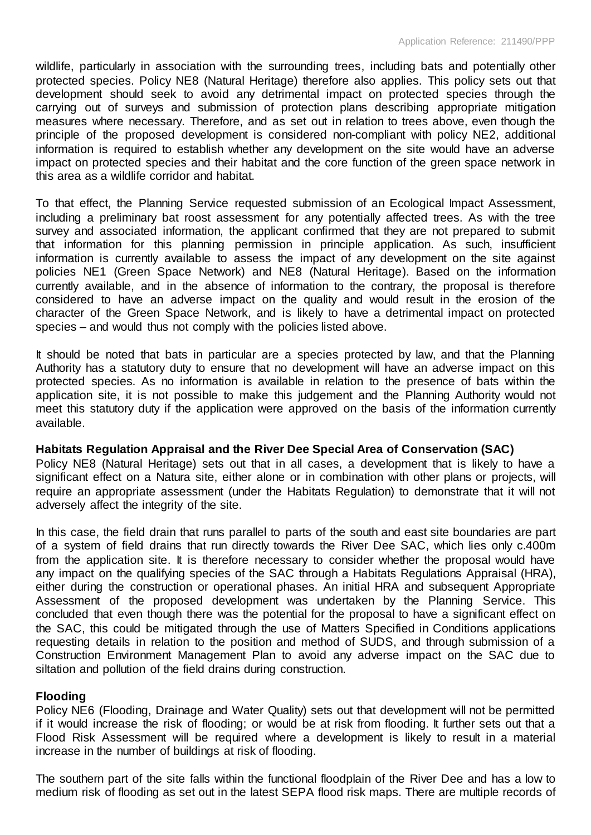wildlife, particularly in association with the surrounding trees, including bats and potentially other protected species. Policy NE8 (Natural Heritage) therefore also applies. This policy sets out that development should seek to avoid any detrimental impact on protected species through the carrying out of surveys and submission of protection plans describing appropriate mitigation measures where necessary. Therefore, and as set out in relation to trees above, even though the principle of the proposed development is considered non-compliant with policy NE2, additional information is required to establish whether any development on the site would have an adverse impact on protected species and their habitat and the core function of the green space network in this area as a wildlife corridor and habitat.

To that effect, the Planning Service requested submission of an Ecological Impact Assessment, including a preliminary bat roost assessment for any potentially affected trees. As with the tree survey and associated information, the applicant confirmed that they are not prepared to submit that information for this planning permission in principle application. As such, insufficient information is currently available to assess the impact of any development on the site against policies NE1 (Green Space Network) and NE8 (Natural Heritage). Based on the information currently available, and in the absence of information to the contrary, the proposal is therefore considered to have an adverse impact on the quality and would result in the erosion of the character of the Green Space Network, and is likely to have a detrimental impact on protected species – and would thus not comply with the policies listed above.

It should be noted that bats in particular are a species protected by law, and that the Planning Authority has a statutory duty to ensure that no development will have an adverse impact on this protected species. As no information is available in relation to the presence of bats within the application site, it is not possible to make this judgement and the Planning Authority would not meet this statutory duty if the application were approved on the basis of the information currently available.

#### **Habitats Regulation Appraisal and the River Dee Special Area of Conservation (SAC)**

Policy NE8 (Natural Heritage) sets out that in all cases, a development that is likely to have a significant effect on a Natura site, either alone or in combination with other plans or projects, will require an appropriate assessment (under the Habitats Regulation) to demonstrate that it will not adversely affect the integrity of the site.

In this case, the field drain that runs parallel to parts of the south and east site boundaries are part of a system of field drains that run directly towards the River Dee SAC, which lies only c.400m from the application site. It is therefore necessary to consider whether the proposal would have any impact on the qualifying species of the SAC through a Habitats Regulations Appraisal (HRA), either during the construction or operational phases. An initial HRA and subsequent Appropriate Assessment of the proposed development was undertaken by the Planning Service. This concluded that even though there was the potential for the proposal to have a significant effect on the SAC, this could be mitigated through the use of Matters Specified in Conditions applications requesting details in relation to the position and method of SUDS, and through submission of a Construction Environment Management Plan to avoid any adverse impact on the SAC due to siltation and pollution of the field drains during construction.

#### **Flooding**

Policy NE6 (Flooding, Drainage and Water Quality) sets out that development will not be permitted if it would increase the risk of flooding; or would be at risk from flooding. It further sets out that a Flood Risk Assessment will be required where a development is likely to result in a material increase in the number of buildings at risk of flooding.

The southern part of the site falls within the functional floodplain of the River Dee and has a low to medium risk of flooding as set out in the latest SEPA flood risk maps. There are multiple records of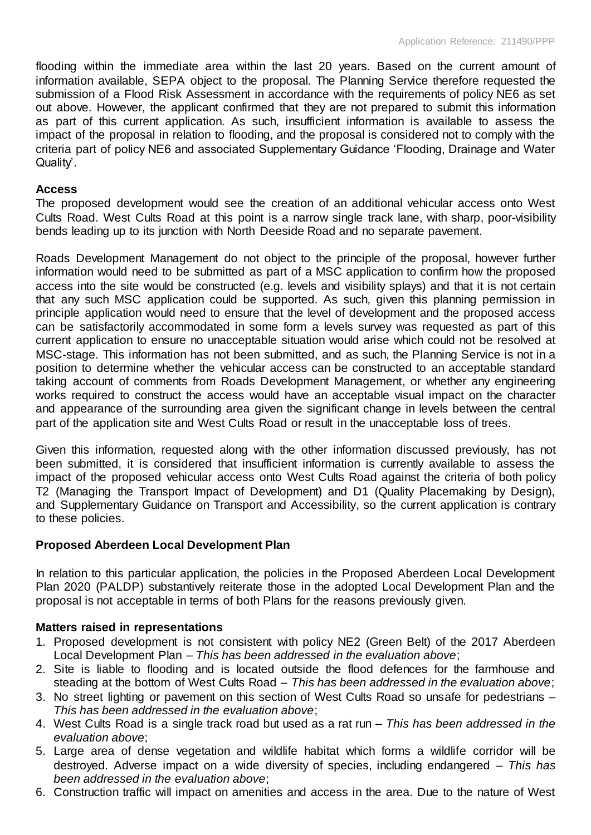flooding within the immediate area within the last 20 years. Based on the current amount of information available, SEPA object to the proposal. The Planning Service therefore requested the submission of a Flood Risk Assessment in accordance with the requirements of policy NE6 as set out above. However, the applicant confirmed that they are not prepared to submit this information as part of this current application. As such, insufficient information is available to assess the impact of the proposal in relation to flooding, and the proposal is considered not to comply with the criteria part of policy NE6 and associated Supplementary Guidance 'Flooding, Drainage and Water Quality'.

## **Access**

The proposed development would see the creation of an additional vehicular access onto West Cults Road. West Cults Road at this point is a narrow single track lane, with sharp, poor-visibility bends leading up to its junction with North Deeside Road and no separate pavement.

Roads Development Management do not object to the principle of the proposal, however further information would need to be submitted as part of a MSC application to confirm how the proposed access into the site would be constructed (e.g. levels and visibility splays) and that it is not certain that any such MSC application could be supported. As such, given this planning permission in principle application would need to ensure that the level of development and the proposed access can be satisfactorily accommodated in some form a levels survey was requested as part of this current application to ensure no unacceptable situation would arise which could not be resolved at MSC-stage. This information has not been submitted, and as such, the Planning Service is not in a position to determine whether the vehicular access can be constructed to an acceptable standard taking account of comments from Roads Development Management, or whether any engineering works required to construct the access would have an acceptable visual impact on the character and appearance of the surrounding area given the significant change in levels between the central part of the application site and West Cults Road or result in the unacceptable loss of trees.

Given this information, requested along with the other information discussed previously, has not been submitted, it is considered that insufficient information is currently available to assess the impact of the proposed vehicular access onto West Cults Road against the criteria of both policy T2 (Managing the Transport Impact of Development) and D1 (Quality Placemaking by Design), and Supplementary Guidance on Transport and Accessibility, so the current application is contrary to these policies.

# **Proposed Aberdeen Local Development Plan**

In relation to this particular application, the policies in the Proposed Aberdeen Local Development Plan 2020 (PALDP) substantively reiterate those in the adopted Local Development Plan and the proposal is not acceptable in terms of both Plans for the reasons previously given.

## **Matters raised in representations**

- 1. Proposed development is not consistent with policy NE2 (Green Belt) of the 2017 Aberdeen Local Development Plan *– This has been addressed in the evaluation above*;
- 2. Site is liable to flooding and is located outside the flood defences for the farmhouse and steading at the bottom of West Cults Road – *This has been addressed in the evaluation above*;
- 3. No street lighting or pavement on this section of West Cults Road so unsafe for pedestrians *This has been addressed in the evaluation above*;
- 4. West Cults Road is a single track road but used as a rat run *This has been addressed in the evaluation above*;
- 5. Large area of dense vegetation and wildlife habitat which forms a wildlife corridor will be destroyed. Adverse impact on a wide diversity of species, including endangered – *This has been addressed in the evaluation above*;
- 6. Construction traffic will impact on amenities and access in the area. Due to the nature of West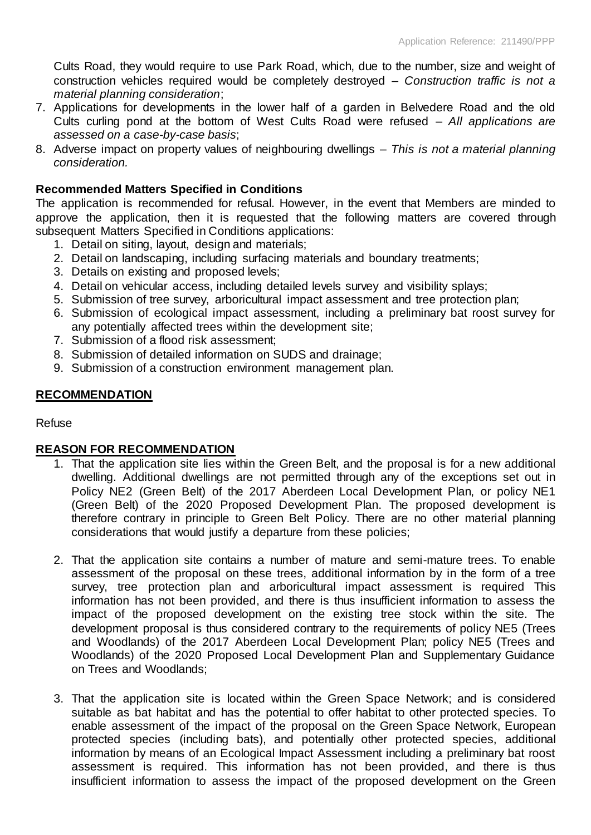Cults Road, they would require to use Park Road, which, due to the number, size and weight of construction vehicles required would be completely destroyed – *Construction traffic is not a material planning consideration*;

- 7. Applications for developments in the lower half of a garden in Belvedere Road and the old Cults curling pond at the bottom of West Cults Road were refused – *All applications are assessed on a case-by-case basis*;
- 8. Adverse impact on property values of neighbouring dwellings *This is not a material planning consideration.*

## **Recommended Matters Specified in Conditions**

The application is recommended for refusal. However, in the event that Members are minded to approve the application, then it is requested that the following matters are covered through subsequent Matters Specified in Conditions applications:

- 1. Detail on siting, layout, design and materials;
- 2. Detail on landscaping, including surfacing materials and boundary treatments;
- 3. Details on existing and proposed levels;
- 4. Detail on vehicular access, including detailed levels survey and visibility splays;
- 5. Submission of tree survey, arboricultural impact assessment and tree protection plan;
- 6. Submission of ecological impact assessment, including a preliminary bat roost survey for any potentially affected trees within the development site;
- 7. Submission of a flood risk assessment;
- 8. Submission of detailed information on SUDS and drainage;
- 9. Submission of a construction environment management plan.

## **RECOMMENDATION**

#### Refuse

#### **REASON FOR RECOMMENDATION**

- 1. That the application site lies within the Green Belt, and the proposal is for a new additional dwelling. Additional dwellings are not permitted through any of the exceptions set out in Policy NE2 (Green Belt) of the 2017 Aberdeen Local Development Plan, or policy NE1 (Green Belt) of the 2020 Proposed Development Plan. The proposed development is therefore contrary in principle to Green Belt Policy. There are no other material planning considerations that would justify a departure from these policies;
- 2. That the application site contains a number of mature and semi-mature trees. To enable assessment of the proposal on these trees, additional information by in the form of a tree survey, tree protection plan and arboricultural impact assessment is required This information has not been provided, and there is thus insufficient information to assess the impact of the proposed development on the existing tree stock within the site. The development proposal is thus considered contrary to the requirements of policy NE5 (Trees and Woodlands) of the 2017 Aberdeen Local Development Plan; policy NE5 (Trees and Woodlands) of the 2020 Proposed Local Development Plan and Supplementary Guidance on Trees and Woodlands;
- 3. That the application site is located within the Green Space Network; and is considered suitable as bat habitat and has the potential to offer habitat to other protected species. To enable assessment of the impact of the proposal on the Green Space Network, European protected species (including bats), and potentially other protected species, additional information by means of an Ecological Impact Assessment including a preliminary bat roost assessment is required. This information has not been provided, and there is thus insufficient information to assess the impact of the proposed development on the Green